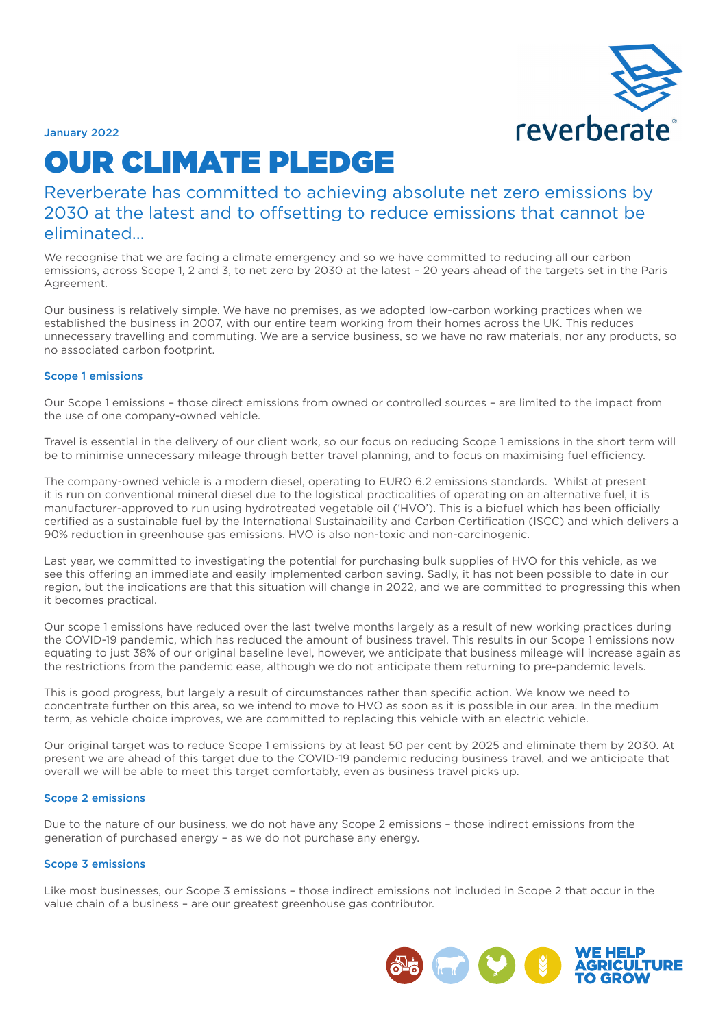

January 2022

# OUR CLIMATE PLEDGE

Reverberate has committed to achieving absolute net zero emissions by 2030 at the latest and to offsetting to reduce emissions that cannot be eliminated…

We recognise that we are facing a climate emergency and so we have committed to reducing all our carbon emissions, across Scope 1, 2 and 3, to net zero by 2030 at the latest – 20 years ahead of the targets set in the Paris Agreement.

Our business is relatively simple. We have no premises, as we adopted low-carbon working practices when we established the business in 2007, with our entire team working from their homes across the UK. This reduces unnecessary travelling and commuting. We are a service business, so we have no raw materials, nor any products, so no associated carbon footprint.

## Scope 1 emissions

Our Scope 1 emissions – those direct emissions from owned or controlled sources – are limited to the impact from the use of one company-owned vehicle.

Travel is essential in the delivery of our client work, so our focus on reducing Scope 1 emissions in the short term will be to minimise unnecessary mileage through better travel planning, and to focus on maximising fuel efficiency.

The company-owned vehicle is a modern diesel, operating to EURO 6.2 emissions standards. Whilst at present it is run on conventional mineral diesel due to the logistical practicalities of operating on an alternative fuel, it is manufacturer-approved to run using hydrotreated vegetable oil ('HVO'). This is a biofuel which has been officially certified as a sustainable fuel by the International Sustainability and Carbon Certification (ISCC) and which delivers a 90% reduction in greenhouse gas emissions. HVO is also non-toxic and non-carcinogenic.

Last year, we committed to investigating the potential for purchasing bulk supplies of HVO for this vehicle, as we see this offering an immediate and easily implemented carbon saving. Sadly, it has not been possible to date in our region, but the indications are that this situation will change in 2022, and we are committed to progressing this when it becomes practical.

Our scope 1 emissions have reduced over the last twelve months largely as a result of new working practices during the COVID-19 pandemic, which has reduced the amount of business travel. This results in our Scope 1 emissions now equating to just 38% of our original baseline level, however, we anticipate that business mileage will increase again as the restrictions from the pandemic ease, although we do not anticipate them returning to pre-pandemic levels.

This is good progress, but largely a result of circumstances rather than specific action. We know we need to concentrate further on this area, so we intend to move to HVO as soon as it is possible in our area. In the medium term, as vehicle choice improves, we are committed to replacing this vehicle with an electric vehicle.

Our original target was to reduce Scope 1 emissions by at least 50 per cent by 2025 and eliminate them by 2030. At present we are ahead of this target due to the COVID-19 pandemic reducing business travel, and we anticipate that overall we will be able to meet this target comfortably, even as business travel picks up.

#### Scope 2 emissions

Due to the nature of our business, we do not have any Scope 2 emissions – those indirect emissions from the generation of purchased energy – as we do not purchase any energy.

#### Scope 3 emissions

Like most businesses, our Scope 3 emissions – those indirect emissions not included in Scope 2 that occur in the value chain of a business – are our greatest greenhouse gas contributor.

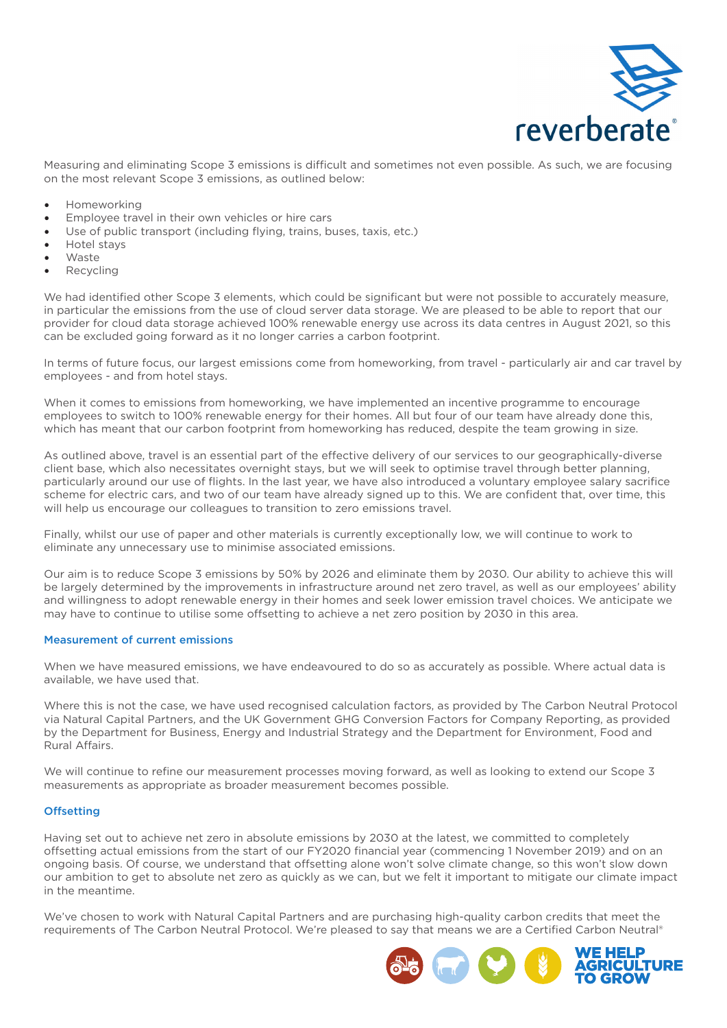

Measuring and eliminating Scope 3 emissions is difficult and sometimes not even possible. As such, we are focusing on the most relevant Scope 3 emissions, as outlined below:

- Homeworking
- Employee travel in their own vehicles or hire cars
- Use of public transport (including flying, trains, buses, taxis, etc.)
- Hotel stays
- **Waste**
- **Recycling**

We had identified other Scope 3 elements, which could be significant but were not possible to accurately measure, in particular the emissions from the use of cloud server data storage. We are pleased to be able to report that our provider for cloud data storage achieved 100% renewable energy use across its data centres in August 2021, so this can be excluded going forward as it no longer carries a carbon footprint.

In terms of future focus, our largest emissions come from homeworking, from travel - particularly air and car travel by employees - and from hotel stays.

When it comes to emissions from homeworking, we have implemented an incentive programme to encourage employees to switch to 100% renewable energy for their homes. All but four of our team have already done this, which has meant that our carbon footprint from homeworking has reduced, despite the team growing in size.

As outlined above, travel is an essential part of the effective delivery of our services to our geographically-diverse client base, which also necessitates overnight stays, but we will seek to optimise travel through better planning, particularly around our use of flights. In the last year, we have also introduced a voluntary employee salary sacrifice scheme for electric cars, and two of our team have already signed up to this. We are confident that, over time, this will help us encourage our colleagues to transition to zero emissions travel.

Finally, whilst our use of paper and other materials is currently exceptionally low, we will continue to work to eliminate any unnecessary use to minimise associated emissions.

Our aim is to reduce Scope 3 emissions by 50% by 2026 and eliminate them by 2030. Our ability to achieve this will be largely determined by the improvements in infrastructure around net zero travel, as well as our employees' ability and willingness to adopt renewable energy in their homes and seek lower emission travel choices. We anticipate we may have to continue to utilise some offsetting to achieve a net zero position by 2030 in this area.

## Measurement of current emissions

When we have measured emissions, we have endeavoured to do so as accurately as possible. Where actual data is available, we have used that.

Where this is not the case, we have used recognised calculation factors, as provided by The Carbon Neutral Protocol via Natural Capital Partners, and the UK Government GHG Conversion Factors for Company Reporting, as provided by the Department for Business, Energy and Industrial Strategy and the Department for Environment, Food and Rural Affairs.

We will continue to refine our measurement processes moving forward, as well as looking to extend our Scope 3 measurements as appropriate as broader measurement becomes possible.

## **Offsetting**

Having set out to achieve net zero in absolute emissions by 2030 at the latest, we committed to completely offsetting actual emissions from the start of our FY2020 financial year (commencing 1 November 2019) and on an ongoing basis. Of course, we understand that offsetting alone won't solve climate change, so this won't slow down our ambition to get to absolute net zero as quickly as we can, but we felt it important to mitigate our climate impact in the meantime.

We've chosen to work with Natural Capital Partners and are purchasing high-quality carbon credits that meet the requirements of The Carbon Neutral Protocol. We're pleased to say that means we are a Certified Carbon Neutral®